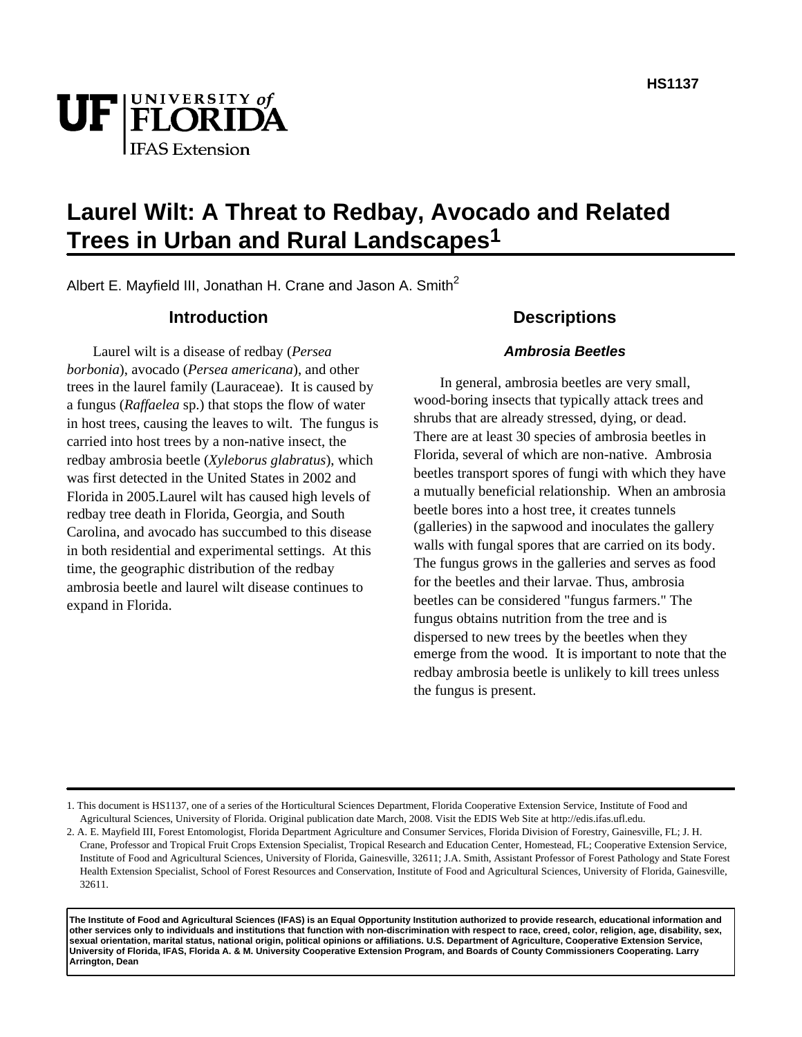# UF FLORIDA **IFAS** Extension

# **Laurel Wilt: A Threat to Redbay, Avocado and Related Trees in Urban and Rural Landscapes1**

Albert E. Mayfield III, Jonathan H. Crane and Jason A. Smith<sup>2</sup>

#### **Introduction**

Laurel wilt is a disease of redbay (*Persea borbonia*), avocado (*Persea americana*), and other trees in the laurel family (Lauraceae). It is caused by a fungus (*Raffaelea* sp.) that stops the flow of water in host trees, causing the leaves to wilt. The fungus is carried into host trees by a non-native insect, the redbay ambrosia beetle (*Xyleborus glabratus*), which was first detected in the United States in 2002 and Florida in 2005.Laurel wilt has caused high levels of redbay tree death in Florida, Georgia, and South Carolina, and avocado has succumbed to this disease in both residential and experimental settings. At this time, the geographic distribution of the redbay ambrosia beetle and laurel wilt disease continues to expand in Florida.

#### **Descriptions**

#### **Ambrosia Beetles**

In general, ambrosia beetles are very small, wood-boring insects that typically attack trees and shrubs that are already stressed, dying, or dead. There are at least 30 species of ambrosia beetles in Florida, several of which are non-native. Ambrosia beetles transport spores of fungi with which they have a mutually beneficial relationship. When an ambrosia beetle bores into a host tree, it creates tunnels (galleries) in the sapwood and inoculates the gallery walls with fungal spores that are carried on its body. The fungus grows in the galleries and serves as food for the beetles and their larvae. Thus, ambrosia beetles can be considered "fungus farmers." The fungus obtains nutrition from the tree and is dispersed to new trees by the beetles when they emerge from the wood. It is important to note that the redbay ambrosia beetle is unlikely to kill trees unless the fungus is present.

**The Institute of Food and Agricultural Sciences (IFAS) is an Equal Opportunity Institution authorized to provide research, educational information and other services only to individuals and institutions that function with non-discrimination with respect to race, creed, color, religion, age, disability, sex, sexual orientation, marital status, national origin, political opinions or affiliations. U.S. Department of Agriculture, Cooperative Extension Service, University of Florida, IFAS, Florida A. & M. University Cooperative Extension Program, and Boards of County Commissioners Cooperating. Larry Arrington, Dean**

<sup>1.</sup> This document is HS1137, one of a series of the Horticultural Sciences Department, Florida Cooperative Extension Service, Institute of Food and Agricultural Sciences, University of Florida. Original publication date March, 2008. Visit the EDIS Web Site at http://edis.ifas.ufl.edu.

<sup>2.</sup> A. E. Mayfield III, Forest Entomologist, Florida Department Agriculture and Consumer Services, Florida Division of Forestry, Gainesville, FL; J. H. Crane, Professor and Tropical Fruit Crops Extension Specialist, Tropical Research and Education Center, Homestead, FL; Cooperative Extension Service, Institute of Food and Agricultural Sciences, University of Florida, Gainesville, 32611; J.A. Smith, Assistant Professor of Forest Pathology and State Forest Health Extension Specialist, School of Forest Resources and Conservation, Institute of Food and Agricultural Sciences, University of Florida, Gainesville, 32611.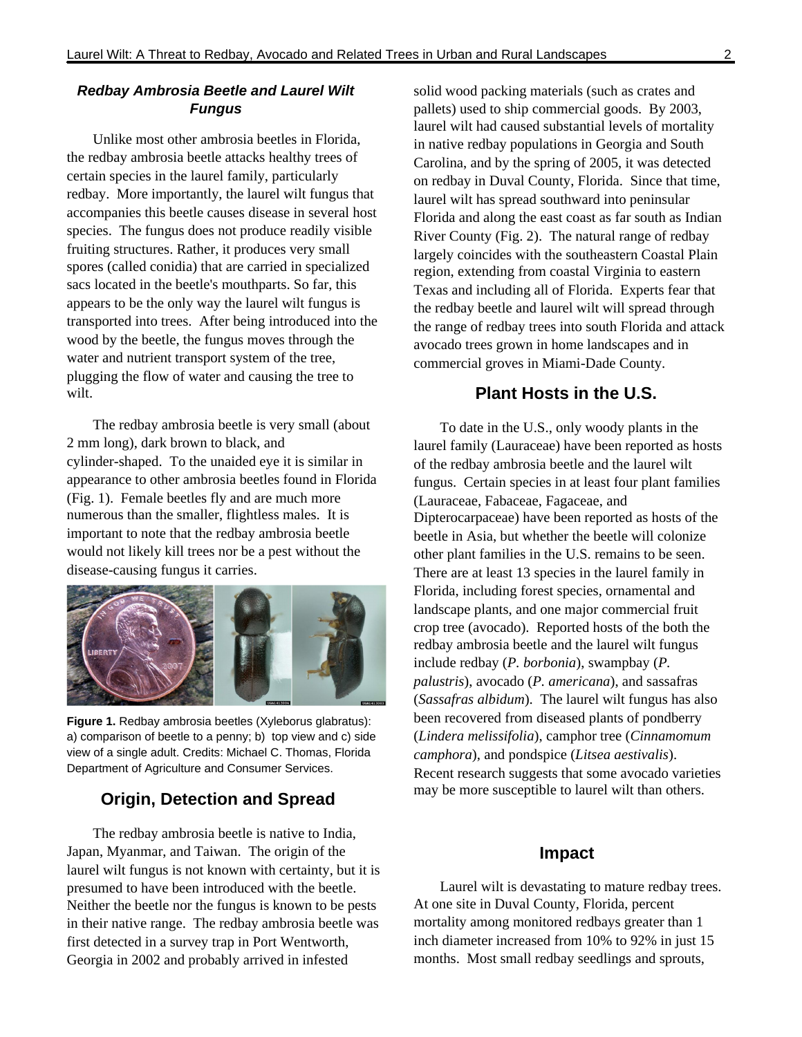#### **Redbay Ambrosia Beetle and Laurel Wilt Fungus**

Unlike most other ambrosia beetles in Florida, the redbay ambrosia beetle attacks healthy trees of certain species in the laurel family, particularly redbay. More importantly, the laurel wilt fungus that accompanies this beetle causes disease in several host species. The fungus does not produce readily visible fruiting structures. Rather, it produces very small spores (called conidia) that are carried in specialized sacs located in the beetle's mouthparts. So far, this appears to be the only way the laurel wilt fungus is transported into trees. After being introduced into the wood by the beetle, the fungus moves through the water and nutrient transport system of the tree, plugging the flow of water and causing the tree to wilt.

The redbay ambrosia beetle is very small (about 2 mm long), dark brown to black, and cylinder-shaped. To the unaided eye it is similar in appearance to other ambrosia beetles found in Florida (Fig. 1). Female beetles fly and are much more numerous than the smaller, flightless males. It is important to note that the redbay ambrosia beetle would not likely kill trees nor be a pest without the disease-causing fungus it carries.



**Figure 1.** Redbay ambrosia beetles (Xyleborus glabratus): a) comparison of beetle to a penny; b) top view and c) side view of a single adult. Credits: Michael C. Thomas, Florida Department of Agriculture and Consumer Services.

### **Origin, Detection and Spread**

The redbay ambrosia beetle is native to India, Japan, Myanmar, and Taiwan. The origin of the laurel wilt fungus is not known with certainty, but it is presumed to have been introduced with the beetle. Neither the beetle nor the fungus is known to be pests in their native range. The redbay ambrosia beetle was first detected in a survey trap in Port Wentworth, Georgia in 2002 and probably arrived in infested

solid wood packing materials (such as crates and pallets) used to ship commercial goods. By 2003, laurel wilt had caused substantial levels of mortality in native redbay populations in Georgia and South Carolina, and by the spring of 2005, it was detected on redbay in Duval County, Florida. Since that time, laurel wilt has spread southward into peninsular Florida and along the east coast as far south as Indian River County (Fig. 2). The natural range of redbay largely coincides with the southeastern Coastal Plain region, extending from coastal Virginia to eastern Texas and including all of Florida. Experts fear that the redbay beetle and laurel wilt will spread through the range of redbay trees into south Florida and attack avocado trees grown in home landscapes and in commercial groves in Miami-Dade County.

#### **Plant Hosts in the U.S.**

To date in the U.S., only woody plants in the laurel family (Lauraceae) have been reported as hosts of the redbay ambrosia beetle and the laurel wilt fungus. Certain species in at least four plant families (Lauraceae, Fabaceae, Fagaceae, and Dipterocarpaceae) have been reported as hosts of the beetle in Asia, but whether the beetle will colonize other plant families in the U.S. remains to be seen. There are at least 13 species in the laurel family in Florida, including forest species, ornamental and landscape plants, and one major commercial fruit crop tree (avocado). Reported hosts of the both the redbay ambrosia beetle and the laurel wilt fungus include redbay (*P. borbonia*), swampbay (*P. palustris*), avocado (*P. americana*), and sassafras (*Sassafras albidum*). The laurel wilt fungus has also been recovered from diseased plants of pondberry (*Lindera melissifolia*), camphor tree (*Cinnamomum camphora*), and pondspice (*Litsea aestivalis*). Recent research suggests that some avocado varieties may be more susceptible to laurel wilt than others.

#### **Impact**

Laurel wilt is devastating to mature redbay trees. At one site in Duval County, Florida, percent mortality among monitored redbays greater than 1 inch diameter increased from 10% to 92% in just 15 months. Most small redbay seedlings and sprouts,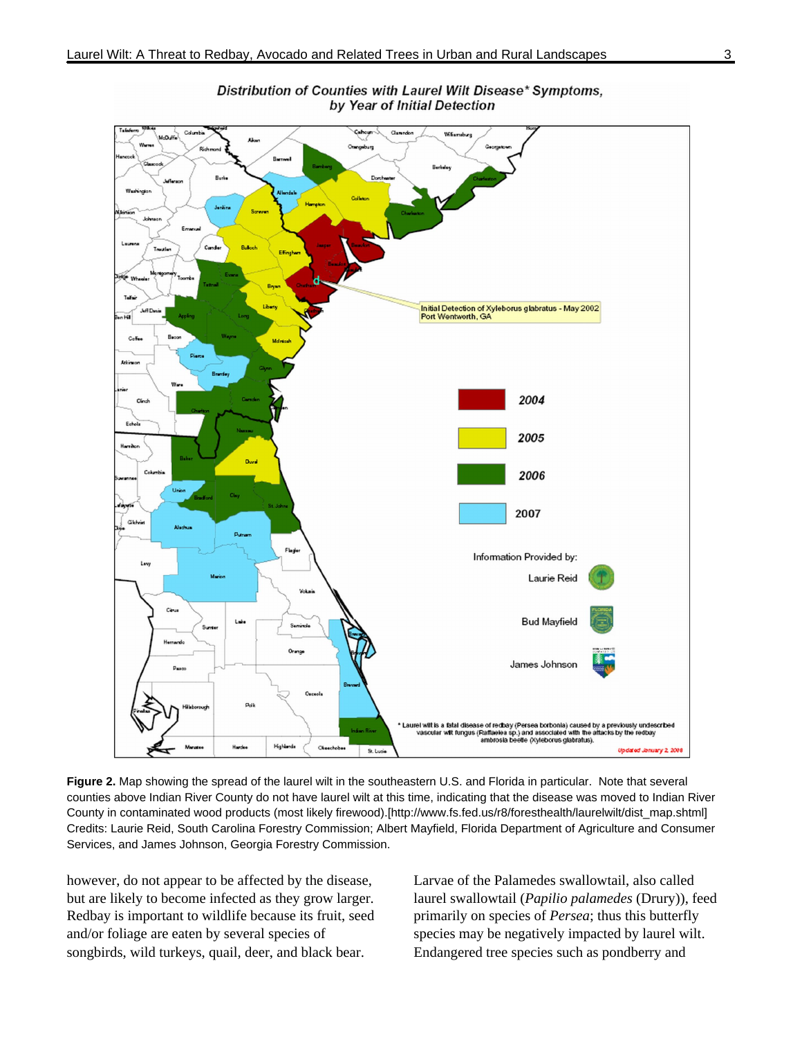



**Figure 2.** Map showing the spread of the laurel wilt in the southeastern U.S. and Florida in particular. Note that several counties above Indian River County do not have laurel wilt at this time, indicating that the disease was moved to Indian River County in contaminated wood products (most likely firewood).[http://www.fs.fed.us/r8/foresthealth/laurelwilt/dist\_map.shtml] Credits: Laurie Reid, South Carolina Forestry Commission; Albert Mayfield, Florida Department of Agriculture and Consumer Services, and James Johnson, Georgia Forestry Commission.

however, do not appear to be affected by the disease, but are likely to become infected as they grow larger. Redbay is important to wildlife because its fruit, seed and/or foliage are eaten by several species of songbirds, wild turkeys, quail, deer, and black bear.

Larvae of the Palamedes swallowtail, also called laurel swallowtail (*Papilio palamedes* (Drury)), feed primarily on species of *Persea*; thus this butterfly species may be negatively impacted by laurel wilt. Endangered tree species such as pondberry and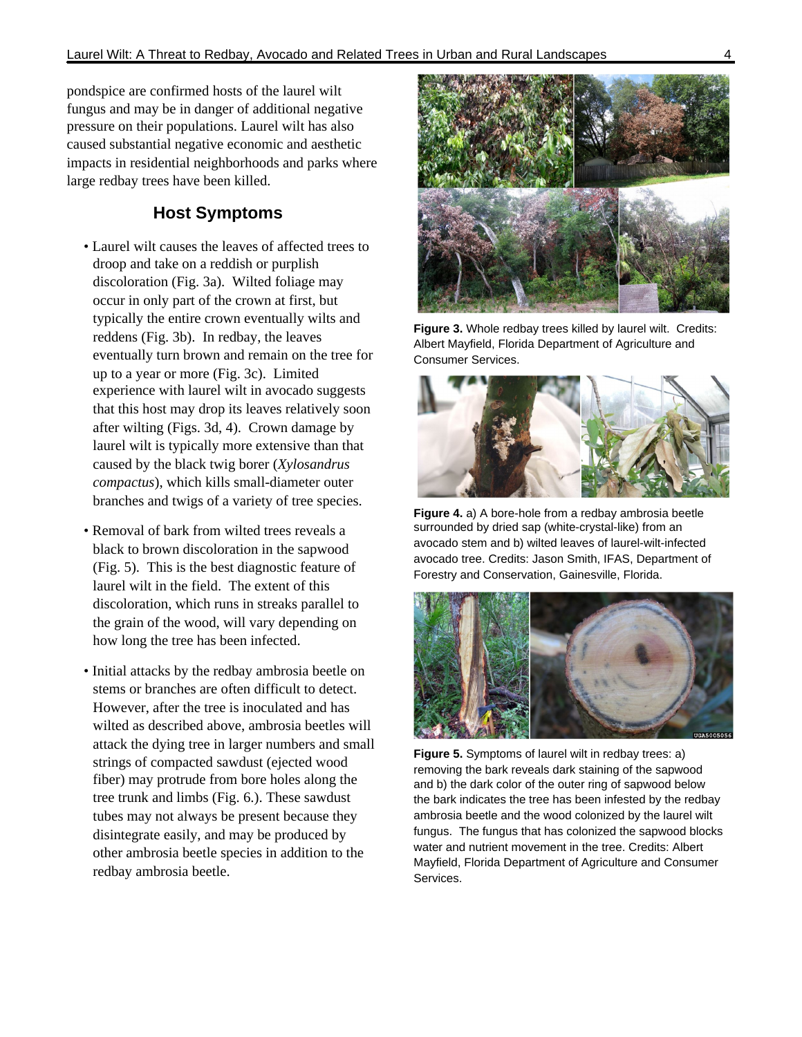pondspice are confirmed hosts of the laurel wilt fungus and may be in danger of additional negative pressure on their populations. Laurel wilt has also caused substantial negative economic and aesthetic impacts in residential neighborhoods and parks where large redbay trees have been killed.

#### **Host Symptoms**

- Laurel wilt causes the leaves of affected trees to droop and take on a reddish or purplish discoloration (Fig. 3a). Wilted foliage may occur in only part of the crown at first, but typically the entire crown eventually wilts and reddens (Fig. 3b). In redbay, the leaves eventually turn brown and remain on the tree for up to a year or more (Fig. 3c). Limited experience with laurel wilt in avocado suggests that this host may drop its leaves relatively soon after wilting (Figs. 3d, 4). Crown damage by laurel wilt is typically more extensive than that caused by the black twig borer (*Xylosandrus compactus*), which kills small-diameter outer branches and twigs of a variety of tree species.
- Removal of bark from wilted trees reveals a black to brown discoloration in the sapwood (Fig. 5). This is the best diagnostic feature of laurel wilt in the field. The extent of this discoloration, which runs in streaks parallel to the grain of the wood, will vary depending on how long the tree has been infected.
- Initial attacks by the redbay ambrosia beetle on stems or branches are often difficult to detect. However, after the tree is inoculated and has wilted as described above, ambrosia beetles will attack the dying tree in larger numbers and small strings of compacted sawdust (ejected wood fiber) may protrude from bore holes along the tree trunk and limbs (Fig. 6.). These sawdust tubes may not always be present because they disintegrate easily, and may be produced by other ambrosia beetle species in addition to the redbay ambrosia beetle.



**Figure 3.** Whole redbay trees killed by laurel wilt. Credits: Albert Mayfield, Florida Department of Agriculture and Consumer Services.



**Figure 4.** a) A bore-hole from a redbay ambrosia beetle surrounded by dried sap (white-crystal-like) from an avocado stem and b) wilted leaves of laurel-wilt-infected avocado tree. Credits: Jason Smith, IFAS, Department of Forestry and Conservation, Gainesville, Florida.



**Figure 5.** Symptoms of laurel wilt in redbay trees: a) removing the bark reveals dark staining of the sapwood and b) the dark color of the outer ring of sapwood below the bark indicates the tree has been infested by the redbay ambrosia beetle and the wood colonized by the laurel wilt fungus. The fungus that has colonized the sapwood blocks water and nutrient movement in the tree. Credits: Albert Mayfield, Florida Department of Agriculture and Consumer Services.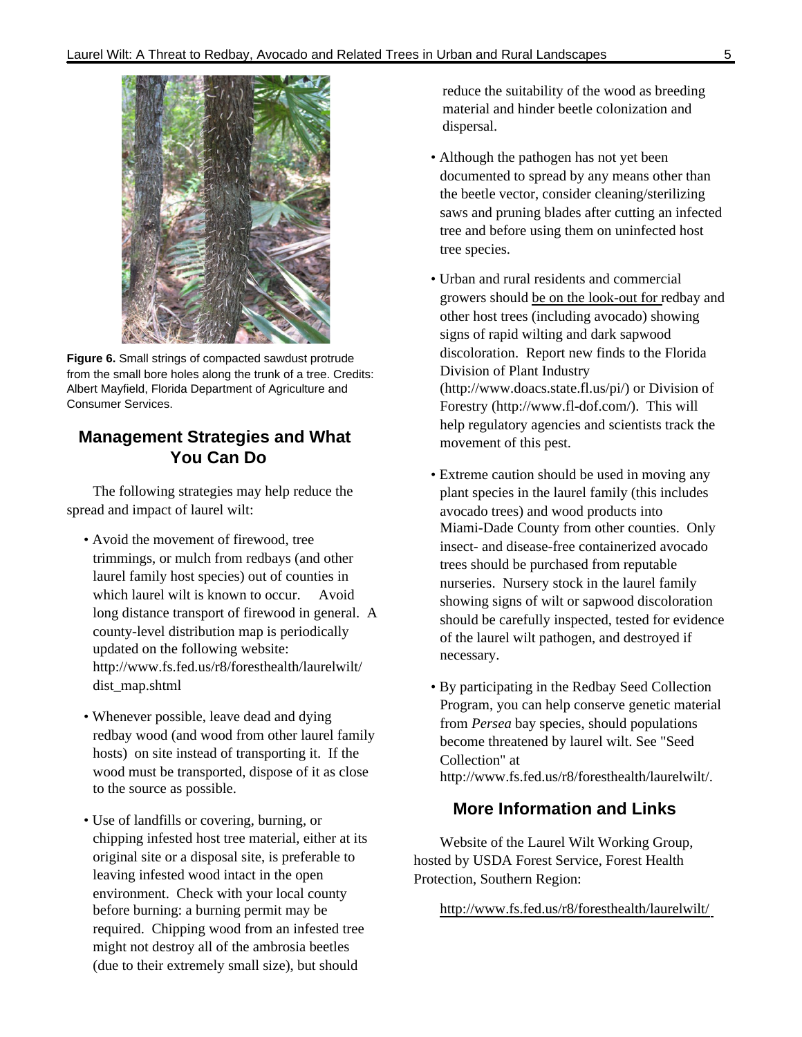

**Figure 6.** Small strings of compacted sawdust protrude from the small bore holes along the trunk of a tree. Credits: Albert Mayfield, Florida Department of Agriculture and Consumer Services.

## **Management Strategies and What You Can Do**

The following strategies may help reduce the spread and impact of laurel wilt:

- Avoid the movement of firewood, tree trimmings, or mulch from redbays (and other laurel family host species) out of counties in which laurel wilt is known to occur. Avoid long distance transport of firewood in general. A county-level distribution map is periodically updated on the following website: http://www.fs.fed.us/r8/foresthealth/laurelwilt/ dist\_map.shtml
- Whenever possible, leave dead and dying redbay wood (and wood from other laurel family hosts) on site instead of transporting it. If the wood must be transported, dispose of it as close to the source as possible.
- Use of landfills or covering, burning, or chipping infested host tree material, either at its original site or a disposal site, is preferable to leaving infested wood intact in the open environment. Check with your local county before burning: a burning permit may be required. Chipping wood from an infested tree might not destroy all of the ambrosia beetles (due to their extremely small size), but should

reduce the suitability of the wood as breeding material and hinder beetle colonization and dispersal.

- Although the pathogen has not yet been documented to spread by any means other than the beetle vector, consider cleaning/sterilizing saws and pruning blades after cutting an infected tree and before using them on uninfected host tree species.
- Urban and rural residents and commercial growers should be on the look-out for redbay and other host trees (including avocado) showing signs of rapid wilting and dark sapwood discoloration. Report new finds to the Florida Division of Plant Industry (http://www.doacs.state.fl.us/pi/) or Division of Forestry (http://www.fl-dof.com/). This will help regulatory agencies and scientists track the movement of this pest.
- Extreme caution should be used in moving any plant species in the laurel family (this includes avocado trees) and wood products into Miami-Dade County from other counties. Only insect- and disease-free containerized avocado trees should be purchased from reputable nurseries. Nursery stock in the laurel family showing signs of wilt or sapwood discoloration should be carefully inspected, tested for evidence of the laurel wilt pathogen, and destroyed if necessary.
- By participating in the Redbay Seed Collection Program, you can help conserve genetic material from *Persea* bay species, should populations become threatened by laurel wilt. See "Seed Collection" at http://www.fs.fed.us/r8/foresthealth/laurelwilt/.

#### **More Information and Links**

Website of the Laurel Wilt Working Group, hosted by USDA Forest Service, Forest Health Protection, Southern Region:

http://www.fs.fed.us/r8/foresthealth/laurelwilt/